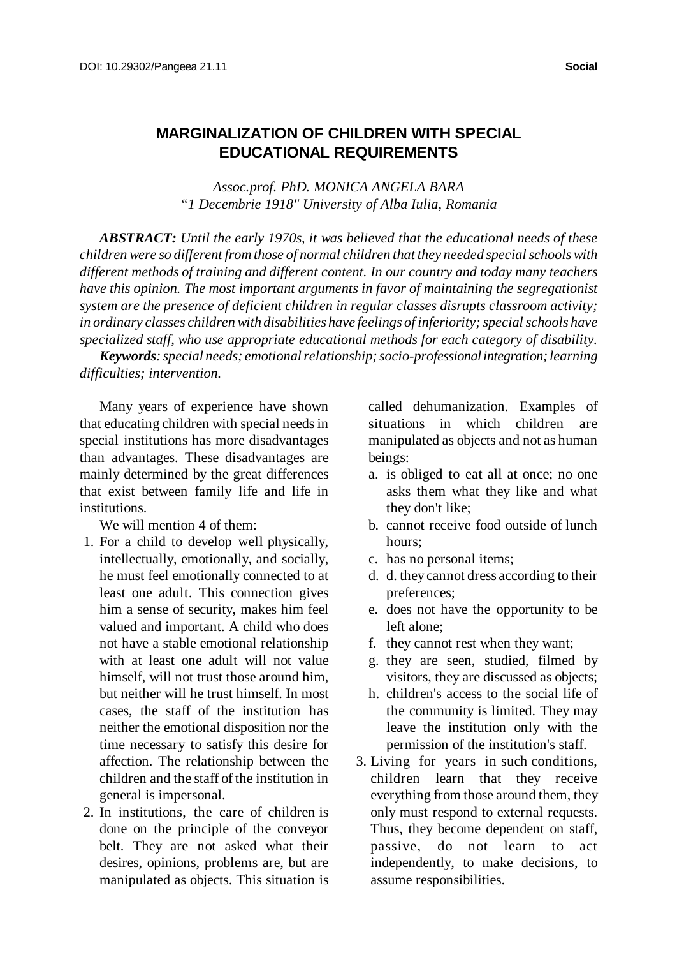## **MARGINALIZATION OF CHILDREN WITH SPECIAL EDUCATIONAL REQUIREMENTS**

*Assoc.prof. PhD. MONICA ANGELA BARA "1 Decembrie 1918" University of Alba Iulia, Romania*

*ABSTRACT: Until the early 1970s, it was believed that the educational needs of these children were so different from those of normal children that they needed specialschoolswith different methods of training and different content. In our country and today many teachers have this opinion. The most important arguments in favor of maintaining the segregationist system are the presence of deficient children in regular classes disrupts classroom activity; in ordinary classes children with disabilities have feelings of inferiority;specialschools have specialized staff, who use appropriate educational methods for each category of disability.*

*Keywords:special needs; emotionalrelationship;socio-professional integration; learning difficulties; intervention.*

Many years of experience have shown that educating children with special needs in special institutions has more disadvantages than advantages. These disadvantages are mainly determined by the great differences that exist between family life and life in institutions.

We will mention 4 of them:

- 1. For a child to develop well physically, intellectually, emotionally, and socially, he must feel emotionally connected to at least one adult. This connection gives him a sense of security, makes him feel valued and important. A child who does not have a stable emotional relationship with at least one adult will not value himself, will not trust those around him, but neither will he trust himself. In most cases, the staff of the institution has neither the emotional disposition nor the time necessary to satisfy this desire for affection. The relationship between the children and the staff of the institution in general is impersonal.
- 2. In institutions, the care of children is done on the principle of the conveyor belt. They are not asked what their desires, opinions, problems are, but are manipulated as objects. This situation is

called dehumanization. Examples of situations in which children are manipulated as objects and not as human beings:

- a. is obliged to eat all at once; no one asks them what they like and what they don't like;
- b. cannot receive food outside of lunch hours;
- c. has no personal items;
- d. d. they cannot dress according to their preferences;
- e. does not have the opportunity to be left alone;
- f. they cannot rest when they want;
- g. they are seen, studied, filmed by visitors, they are discussed as objects;
- h. children's access to the social life of the community is limited. They may leave the institution only with the permission of the institution's staff.
- 3. Living for years in such conditions, children learn that they receive everything from those around them, they only must respond to external requests. Thus, they become dependent on staff, passive, do not learn to act independently, to make decisions, to assume responsibilities.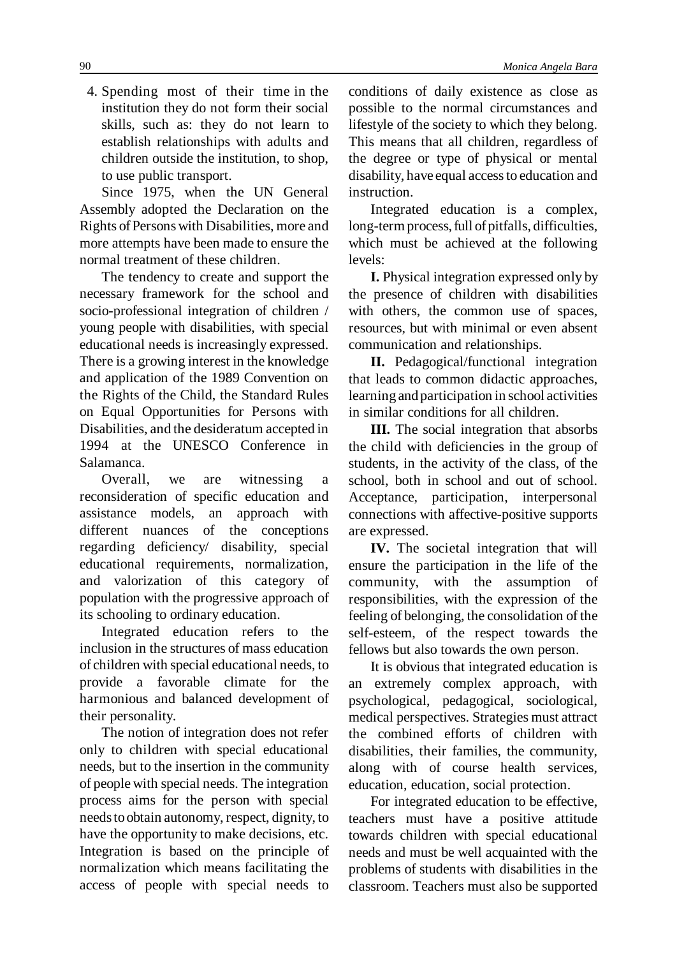4. Spending most of their time in the institution they do not form their social skills, such as: they do not learn to establish relationships with adults and children outside the institution, to shop, to use public transport.

Since 1975, when the UN General Assembly adopted the Declaration on the Rights ofPersonswith Disabilities, more and more attempts have been made to ensure the normal treatment of these children.

The tendency to create and support the necessary framework for the school and socio-professional integration of children / young people with disabilities, with special educational needs is increasingly expressed. There is a growing interest in the knowledge and application of the 1989 Convention on the Rights of the Child, the Standard Rules on Equal Opportunities for Persons with Disabilities, and the desideratum accepted in 1994 at the UNESCO Conference in Salamanca.

Overall, we are witnessing a reconsideration of specific education and assistance models, an approach with different nuances of the conceptions regarding deficiency/ disability, special educational requirements, normalization, and valorization of this category of population with the progressive approach of its schooling to ordinary education.

Integrated education refers to the inclusion in the structures of mass education of children with special educational needs, to provide a favorable climate for the harmonious and balanced development of their personality.

The notion of integration does not refer only to children with special educational needs, but to the insertion in the community of people with special needs. The integration process aims for the person with special needstoobtain autonomy, respect, dignity, to have the opportunity to make decisions, etc. Integration is based on the principle of normalization which means facilitating the access of people with special needs to conditions of daily existence as close as possible to the normal circumstances and lifestyle of the society to which they belong. This means that all children, regardless of the degree or type of physical or mental disability, have equal accessto education and instruction.

Integrated education is a complex, long-termprocess, full of pitfalls, difficulties, which must be achieved at the following levels:

**I.** Physical integration expressed only by the presence of children with disabilities with others, the common use of spaces, resources, but with minimal or even absent communication and relationships.

**II.** Pedagogical/functional integration that leads to common didactic approaches, learning and participation in school activities in similar conditions for all children.

**III.** The social integration that absorbs the child with deficiencies in the group of students, in the activity of the class, of the school, both in school and out of school. Acceptance, participation, interpersonal connections with affective-positive supports are expressed.

**IV.** The societal integration that will ensure the participation in the life of the community, with the assumption of responsibilities, with the expression of the feeling of belonging, the consolidation of the self-esteem, of the respect towards the fellows but also towards the own person.

It is obvious that integrated education is an extremely complex approach, with psychological, pedagogical, sociological, medical perspectives. Strategies must attract the combined efforts of children with disabilities, their families, the community, along with of course health services, education, education, social protection.

For integrated education to be effective, teachers must have a positive attitude towards children with special educational needs and must be well acquainted with the problems of students with disabilities in the classroom. Teachers must also be supported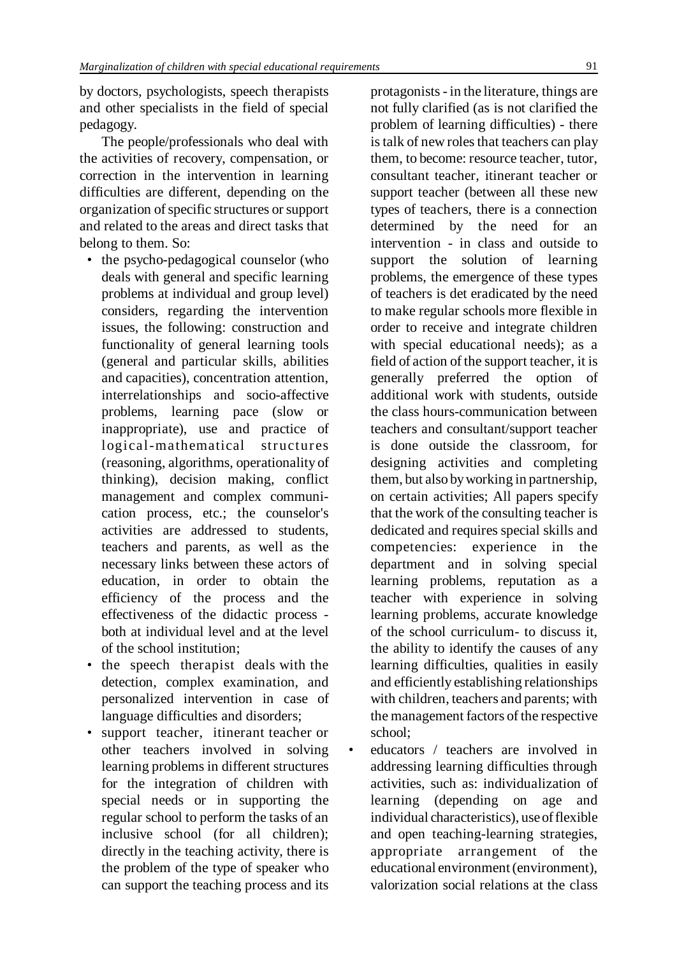by doctors, psychologists, speech therapists and other specialists in the field of special pedagogy.

The people/professionals who deal with the activities of recovery, compensation, or correction in the intervention in learning difficulties are different, depending on the organization of specific structures or support and related to the areas and direct tasks that belong to them. So:

- the psycho-pedagogical counselor (who deals with general and specific learning problems at individual and group level) considers, regarding the intervention issues, the following: construction and functionality of general learning tools (general and particular skills, abilities and capacities), concentration attention, interrelationships and socio-affective problems, learning pace (slow or inappropriate), use and practice of logical-mathematical structures (reasoning, algorithms, operationality of thinking), decision making, conflict management and complex communication process, etc.; the counselor's activities are addressed to students, teachers and parents, as well as the necessary links between these actors of education, in order to obtain the efficiency of the process and the effectiveness of the didactic process both at individual level and at the level of the school institution;
- the speech therapist deals with the detection, complex examination, and personalized intervention in case of language difficulties and disorders;
- support teacher, itinerant teacher or other teachers involved in solving learning problems in different structures for the integration of children with special needs or in supporting the regular school to perform the tasks of an inclusive school (for all children); directly in the teaching activity, there is the problem of the type of speaker who can support the teaching process and its

protagonists- in the literature, things are not fully clarified (as is not clarified the problem of learning difficulties) - there is talk of new roles that teachers can play them, to become: resource teacher, tutor, consultant teacher, itinerant teacher or support teacher (between all these new types of teachers, there is a connection determined by the need for an intervention - in class and outside to support the solution of learning problems, the emergence of these types of teachers is det eradicated by the need to make regular schools more flexible in order to receive and integrate children with special educational needs); as a field of action of the support teacher, it is generally preferred the option of additional work with students, outside the class hours-communication between teachers and consultant/support teacher is done outside the classroom, for designing activities and completing them, but also byworking in partnership, on certain activities; All papers specify that the work of the consulting teacher is dedicated and requires special skills and competencies: experience in the department and in solving special learning problems, reputation as a teacher with experience in solving learning problems, accurate knowledge of the school curriculum- to discuss it, the ability to identify the causes of any learning difficulties, qualities in easily and efficiently establishing relationships with children, teachers and parents; with the management factors of the respective school;

• educators / teachers are involved in addressing learning difficulties through activities, such as: individualization of learning (depending on age and individual characteristics), use of flexible and open teaching-learning strategies, appropriate arrangement of the educational environment (environment), valorization social relations at the class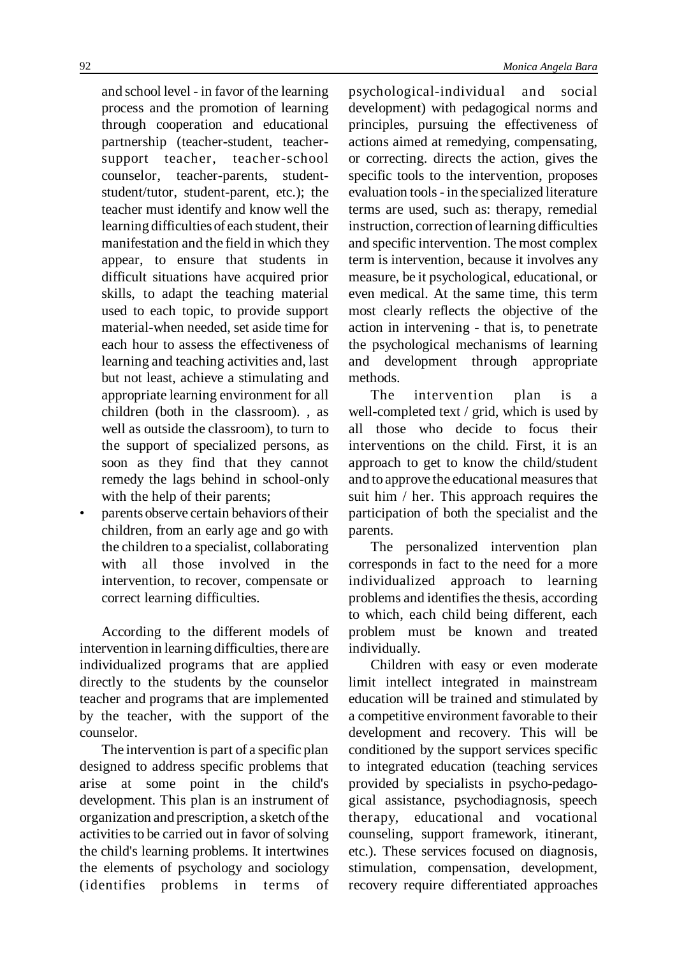and school level - in favor of the learning process and the promotion of learning through cooperation and educational partnership (teacher-student, teachersupport teacher, teacher-school counselor, teacher-parents, studentstudent/tutor, student-parent, etc.); the teacher must identify and know well the learning difficulties of each student, their manifestation and the field in which they appear, to ensure that students in difficult situations have acquired prior skills, to adapt the teaching material used to each topic, to provide support material-when needed, set aside time for each hour to assess the effectiveness of learning and teaching activities and, last but not least, achieve a stimulating and appropriate learning environment for all children (both in the classroom). , as well as outside the classroom), to turn to the support of specialized persons, as soon as they find that they cannot remedy the lags behind in school-only with the help of their parents;

• parents observe certain behaviors oftheir children, from an early age and go with the children to a specialist, collaborating with all those involved in the intervention, to recover, compensate or correct learning difficulties.

According to the different models of intervention in learning difficulties, there are individualized programs that are applied directly to the students by the counselor teacher and programs that are implemented by the teacher, with the support of the counselor.

The intervention is part of a specific plan designed to address specific problems that arise at some point in the child's development. This plan is an instrument of organization and prescription, a sketch ofthe activities to be carried out in favor of solving the child's learning problems. It intertwines the elements of psychology and sociology (identifies problems in terms of psychological-individual and social development) with pedagogical norms and principles, pursuing the effectiveness of actions aimed at remedying, compensating, or correcting. directs the action, gives the specific tools to the intervention, proposes evaluation tools- in the specialized literature terms are used, such as: therapy, remedial instruction, correction oflearning difficulties and specific intervention. The most complex term is intervention, because it involves any measure, be it psychological, educational, or even medical. At the same time, this term most clearly reflects the objective of the action in intervening - that is, to penetrate the psychological mechanisms of learning and development through appropriate methods.

The intervention plan is a well-completed text / grid, which is used by all those who decide to focus their interventions on the child. First, it is an approach to get to know the child/student and to approve the educational measures that suit him / her. This approach requires the participation of both the specialist and the parents.

The personalized intervention plan corresponds in fact to the need for a more individualized approach to learning problems and identifies the thesis, according to which, each child being different, each problem must be known and treated individually.

Children with easy or even moderate limit intellect integrated in mainstream education will be trained and stimulated by a competitive environment favorable to their development and recovery. This will be conditioned by the support services specific to integrated education (teaching services provided by specialists in psycho-pedagogical assistance, psychodiagnosis, speech therapy, educational and vocational counseling, support framework, itinerant, etc.). These services focused on diagnosis, stimulation, compensation, development, recovery require differentiated approaches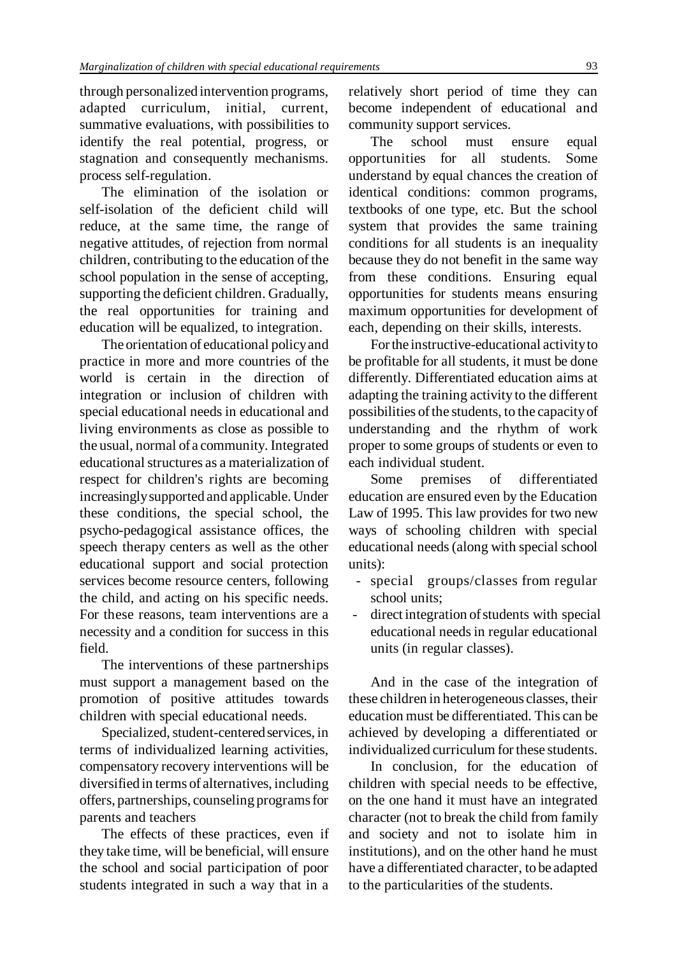through personalized intervention programs, adapted curriculum, initial, current, summative evaluations, with possibilities to identify the real potential, progress, or stagnation and consequently mechanisms. process self-regulation.

The elimination of the isolation or self-isolation of the deficient child will reduce, at the same time, the range of negative attitudes, of rejection from normal children, contributing to the education of the school population in the sense of accepting, supporting the deficient children. Gradually, the real opportunities for training and education will be equalized, to integration.

The orientation of educational policyand practice in more and more countries of the world is certain in the direction of integration or inclusion of children with special educational needs in educational and living environments as close as possible to the usual, normal of a community. Integrated educationalstructures as a materialization of respect for children's rights are becoming increasingly supported and applicable. Under these conditions, the special school, the psycho-pedagogical assistance offices, the speech therapy centers as well as the other educational support and social protection services become resource centers, following the child, and acting on his specific needs. For these reasons, team interventions are a necessity and a condition for success in this field.

The interventions of these partnerships must support a management based on the promotion of positive attitudes towards children with special educational needs.

Specialized, student-centered services, in terms of individualized learning activities, compensatory recovery interventions will be diversified in terms of alternatives, including offers, partnerships, counseling programs for parents and teachers

The effects of these practices, even if they take time, will be beneficial, will ensure the school and social participation of poor students integrated in such a way that in a

relatively short period of time they can become independent of educational and community support services.

The school must ensure equal opportunities for all students. Some understand by equal chances the creation of identical conditions: common programs, textbooks of one type, etc. But the school system that provides the same training conditions for all students is an inequality because they do not benefit in the same way from these conditions. Ensuring equal opportunities for students means ensuring maximum opportunities for development of each, depending on their skills, interests.

For the instructive-educational activity to be profitable for all students, it must be done differently. Differentiated education aims at adapting the training activity to the different possibilities of the students, to the capacity of understanding and the rhythm of work proper to some groups of students or even to each individual student.

Some premises of differentiated education are ensured even by the Education Law of 1995. This law provides for two new ways of schooling children with special educational needs(along with special school units):

- special groups/classes from regular school units;
- direct integration of students with special educational needsin regular educational units (in regular classes).

And in the case of the integration of these children in heterogeneous classes, their education must be differentiated. This can be achieved by developing a differentiated or individualized curriculum forthese students.

In conclusion, for the education of children with special needs to be effective, on the one hand it must have an integrated character (not to break the child from family and society and not to isolate him in institutions), and on the other hand he must have a differentiated character, to be adapted to the particularities of the students.